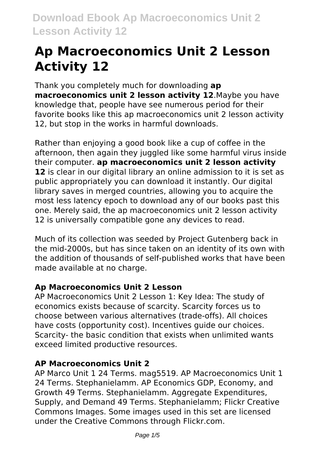# **Ap Macroeconomics Unit 2 Lesson Activity 12**

Thank you completely much for downloading **ap macroeconomics unit 2 lesson activity 12**.Maybe you have knowledge that, people have see numerous period for their favorite books like this ap macroeconomics unit 2 lesson activity 12, but stop in the works in harmful downloads.

Rather than enjoying a good book like a cup of coffee in the afternoon, then again they juggled like some harmful virus inside their computer. **ap macroeconomics unit 2 lesson activity** 12 is clear in our digital library an online admission to it is set as public appropriately you can download it instantly. Our digital library saves in merged countries, allowing you to acquire the most less latency epoch to download any of our books past this one. Merely said, the ap macroeconomics unit 2 lesson activity 12 is universally compatible gone any devices to read.

Much of its collection was seeded by Project Gutenberg back in the mid-2000s, but has since taken on an identity of its own with the addition of thousands of self-published works that have been made available at no charge.

# **Ap Macroeconomics Unit 2 Lesson**

AP Macroeconomics Unit 2 Lesson 1: Key Idea: The study of economics exists because of scarcity. Scarcity forces us to choose between various alternatives (trade-offs). All choices have costs (opportunity cost). Incentives guide our choices. Scarcity- the basic condition that exists when unlimited wants exceed limited productive resources.

#### **AP Macroeconomics Unit 2**

AP Marco Unit 1 24 Terms. mag5519. AP Macroeconomics Unit 1 24 Terms. Stephanielamm. AP Economics GDP, Economy, and Growth 49 Terms. Stephanielamm. Aggregate Expenditures, Supply, and Demand 49 Terms. Stephanielamm; Flickr Creative Commons Images. Some images used in this set are licensed under the Creative Commons through Flickr.com.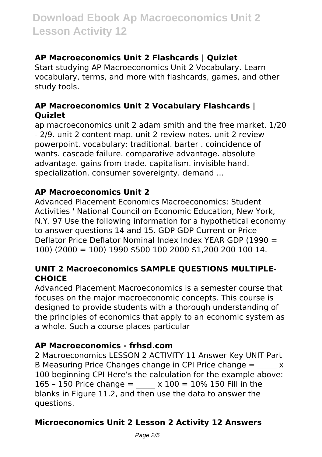# **AP Macroeconomics Unit 2 Flashcards | Quizlet**

Start studying AP Macroeconomics Unit 2 Vocabulary. Learn vocabulary, terms, and more with flashcards, games, and other study tools.

# **AP Macroeconomics Unit 2 Vocabulary Flashcards | Quizlet**

ap macroeconomics unit 2 adam smith and the free market. 1/20 - 2/9. unit 2 content map. unit 2 review notes. unit 2 review powerpoint. vocabulary: traditional. barter . coincidence of wants. cascade failure. comparative advantage. absolute advantage. gains from trade. capitalism. invisible hand. specialization. consumer sovereignty. demand ...

# **AP Macroeconomics Unit 2**

Advanced Placement Economics Macroeconomics: Student Activities ' National Council on Economic Education, New York, N.Y. 97 Use the following information for a hypothetical economy to answer questions 14 and 15. GDP GDP Current or Price Deflator Price Deflator Nominal Index Index YEAR GDP (1990 = 100) (2000 = 100) 1990 \$500 100 2000 \$1,200 200 100 14.

# **UNIT 2 Macroeconomics SAMPLE QUESTIONS MULTIPLE-CHOICE**

Advanced Placement Macroeconomics is a semester course that focuses on the major macroeconomic concepts. This course is designed to provide students with a thorough understanding of the principles of economics that apply to an economic system as a whole. Such a course places particular

# **AP Macroeconomics - frhsd.com**

2 Macroeconomics LESSON 2 ACTIVITY 11 Answer Key UNIT Part B Measuring Price Changes change in CPI Price change  $=$   $\frac{1}{2}$  x 100 beginning CPI Here's the calculation for the example above: 165 - 150 Price change =  $x 100 = 10\%$  150 Fill in the blanks in Figure 11.2, and then use the data to answer the questions.

# **Microeconomics Unit 2 Lesson 2 Activity 12 Answers**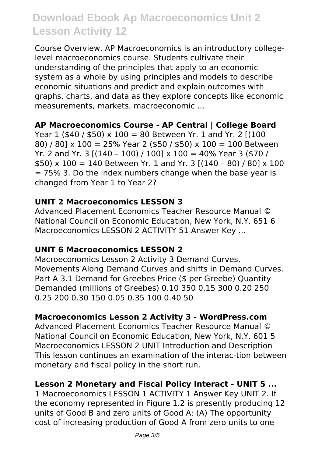Course Overview. AP Macroeconomics is an introductory collegelevel macroeconomics course. Students cultivate their understanding of the principles that apply to an economic system as a whole by using principles and models to describe economic situations and predict and explain outcomes with graphs, charts, and data as they explore concepts like economic measurements, markets, macroeconomic ...

#### **AP Macroeconomics Course - AP Central | College Board**

Year 1 (\$40 / \$50) x 100 = 80 Between Yr. 1 and Yr. 2  $[(100 -$ 80) / 80] x 100 = 25% Year 2 (\$50 / \$50) x 100 = 100 Between Yr. 2 and Yr. 3 [(140 – 100) / 100] x 100 = 40% Year 3 (\$70 / \$50) x 100 = 140 Between Yr. 1 and Yr. 3  $[(140 - 80) / 80] \times 100$  $= 75\%$  3. Do the index numbers change when the base year is changed from Year 1 to Year 2?

#### **UNIT 2 Macroeconomics LESSON 3**

Advanced Placement Economics Teacher Resource Manual © National Council on Economic Education, New York, N.Y. 651 6 Macroeconomics LESSON 2 ACTIVITY 51 Answer Key ...

# **UNIT 6 Macroeconomics LESSON 2**

Macroeconomics Lesson 2 Activity 3 Demand Curves, Movements Along Demand Curves and shifts in Demand Curves. Part A 3.1 Demand for Greebes Price (\$ per Greebe) Quantity Demanded (millions of Greebes) 0.10 350 0.15 300 0.20 250 0.25 200 0.30 150 0.05 0.35 100 0.40 50

#### **Macroeconomics Lesson 2 Activity 3 - WordPress.com**

Advanced Placement Economics Teacher Resource Manual © National Council on Economic Education, New York, N.Y. 601 5 Macroeconomics LESSON 2 UNIT Introduction and Description This lesson continues an examination of the interac-tion between monetary and fiscal policy in the short run.

# **Lesson 2 Monetary and Fiscal Policy Interact - UNIT 5 ...**

1 Macroeconomics LESSON 1 ACTIVITY 1 Answer Key UNIT 2. If the economy represented in Figure 1.2 is presently producing 12 units of Good B and zero units of Good A: (A) The opportunity cost of increasing production of Good A from zero units to one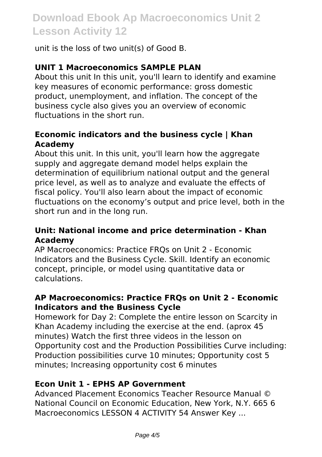unit is the loss of two unit(s) of Good B.

#### **UNIT 1 Macroeconomics SAMPLE PLAN**

About this unit In this unit, you'll learn to identify and examine key measures of economic performance: gross domestic product, unemployment, and inflation. The concept of the business cycle also gives you an overview of economic fluctuations in the short run.

#### **Economic indicators and the business cycle | Khan Academy**

About this unit. In this unit, you'll learn how the aggregate supply and aggregate demand model helps explain the determination of equilibrium national output and the general price level, as well as to analyze and evaluate the effects of fiscal policy. You'll also learn about the impact of economic fluctuations on the economy's output and price level, both in the short run and in the long run.

#### **Unit: National income and price determination - Khan Academy**

AP Macroeconomics: Practice FRQs on Unit 2 - Economic Indicators and the Business Cycle. Skill. Identify an economic concept, principle, or model using quantitative data or calculations.

#### **AP Macroeconomics: Practice FRQs on Unit 2 - Economic Indicators and the Business Cycle**

Homework for Day 2: Complete the entire lesson on Scarcity in Khan Academy including the exercise at the end. (aprox 45 minutes) Watch the first three videos in the lesson on Opportunity cost and the Production Possibilities Curve including: Production possibilities curve 10 minutes; Opportunity cost 5 minutes; Increasing opportunity cost 6 minutes

#### **Econ Unit 1 - EPHS AP Government**

Advanced Placement Economics Teacher Resource Manual © National Council on Economic Education, New York, N.Y. 665 6 Macroeconomics LESSON 4 ACTIVITY 54 Answer Key ...